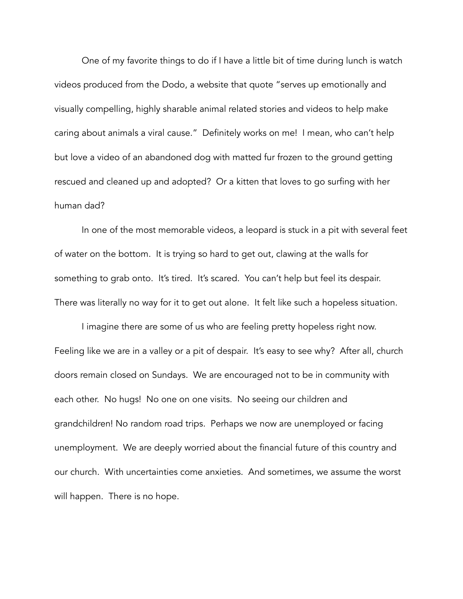One of my favorite things to do if I have a little bit of time during lunch is watch videos produced from the Dodo, a website that quote "serves up emotionally and visually compelling, highly sharable animal related stories and videos to help make caring about animals a viral cause." Definitely works on me! I mean, who can't help but love a video of an abandoned dog with matted fur frozen to the ground getting rescued and cleaned up and adopted? Or a kitten that loves to go surfing with her human dad?

 In one of the most memorable videos, a leopard is stuck in a pit with several feet of water on the bottom. It is trying so hard to get out, clawing at the walls for something to grab onto. It's tired. It's scared. You can't help but feel its despair. There was literally no way for it to get out alone. It felt like such a hopeless situation.

 I imagine there are some of us who are feeling pretty hopeless right now. Feeling like we are in a valley or a pit of despair. It's easy to see why? After all, church doors remain closed on Sundays. We are encouraged not to be in community with each other. No hugs! No one on one visits. No seeing our children and grandchildren! No random road trips. Perhaps we now are unemployed or facing unemployment. We are deeply worried about the financial future of this country and our church. With uncertainties come anxieties. And sometimes, we assume the worst will happen. There is no hope.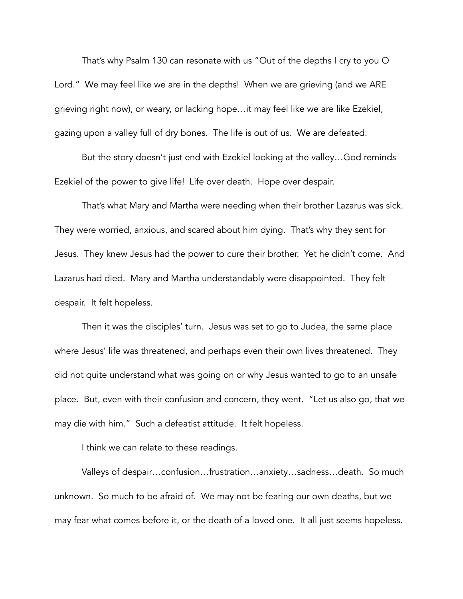That's why Psalm 130 can resonate with us "Out of the depths I cry to you O Lord." We may feel like we are in the depths! When we are grieving (and we ARE grieving right now), or weary, or lacking hope…it may feel like we are like Ezekiel, gazing upon a valley full of dry bones. The life is out of us. We are defeated.

 But the story doesn't just end with Ezekiel looking at the valley…God reminds Ezekiel of the power to give life! Life over death. Hope over despair.

 That's what Mary and Martha were needing when their brother Lazarus was sick. They were worried, anxious, and scared about him dying. That's why they sent for Jesus. They knew Jesus had the power to cure their brother. Yet he didn't come. And Lazarus had died. Mary and Martha understandably were disappointed. They felt despair. It felt hopeless.

 Then it was the disciples' turn. Jesus was set to go to Judea, the same place where Jesus' life was threatened, and perhaps even their own lives threatened. They did not quite understand what was going on or why Jesus wanted to go to an unsafe place. But, even with their confusion and concern, they went. "Let us also go, that we may die with him." Such a defeatist attitude. It felt hopeless.

I think we can relate to these readings.

 Valleys of despair…confusion…frustration…anxiety…sadness…death. So much unknown. So much to be afraid of. We may not be fearing our own deaths, but we may fear what comes before it, or the death of a loved one. It all just seems hopeless.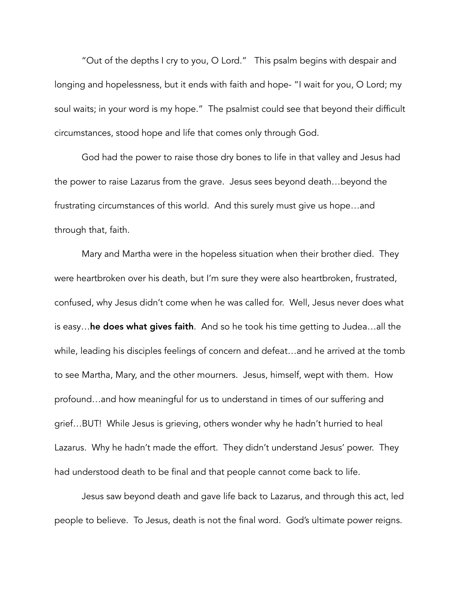"Out of the depths I cry to you, O Lord." This psalm begins with despair and longing and hopelessness, but it ends with faith and hope- "I wait for you, O Lord; my soul waits; in your word is my hope." The psalmist could see that beyond their difficult circumstances, stood hope and life that comes only through God.

 God had the power to raise those dry bones to life in that valley and Jesus had the power to raise Lazarus from the grave. Jesus sees beyond death…beyond the frustrating circumstances of this world. And this surely must give us hope…and through that, faith.

 Mary and Martha were in the hopeless situation when their brother died. They were heartbroken over his death, but I'm sure they were also heartbroken, frustrated, confused, why Jesus didn't come when he was called for. Well, Jesus never does what is easy…he does what gives faith. And so he took his time getting to Judea…all the while, leading his disciples feelings of concern and defeat…and he arrived at the tomb to see Martha, Mary, and the other mourners. Jesus, himself, wept with them. How profound…and how meaningful for us to understand in times of our suffering and grief…BUT! While Jesus is grieving, others wonder why he hadn't hurried to heal Lazarus. Why he hadn't made the effort. They didn't understand Jesus' power. They had understood death to be final and that people cannot come back to life.

 Jesus saw beyond death and gave life back to Lazarus, and through this act, led people to believe. To Jesus, death is not the final word. God's ultimate power reigns.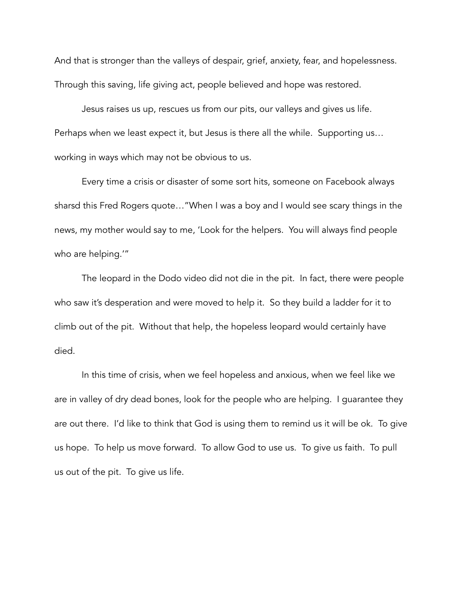And that is stronger than the valleys of despair, grief, anxiety, fear, and hopelessness. Through this saving, life giving act, people believed and hope was restored.

 Jesus raises us up, rescues us from our pits, our valleys and gives us life. Perhaps when we least expect it, but Jesus is there all the while. Supporting us… working in ways which may not be obvious to us.

 Every time a crisis or disaster of some sort hits, someone on Facebook always sharsd this Fred Rogers quote…"When I was a boy and I would see scary things in the news, my mother would say to me, 'Look for the helpers. You will always find people who are helping.'"

 The leopard in the Dodo video did not die in the pit. In fact, there were people who saw it's desperation and were moved to help it. So they build a ladder for it to climb out of the pit. Without that help, the hopeless leopard would certainly have died.

 In this time of crisis, when we feel hopeless and anxious, when we feel like we are in valley of dry dead bones, look for the people who are helping. I guarantee they are out there. I'd like to think that God is using them to remind us it will be ok. To give us hope. To help us move forward. To allow God to use us. To give us faith. To pull us out of the pit. To give us life.